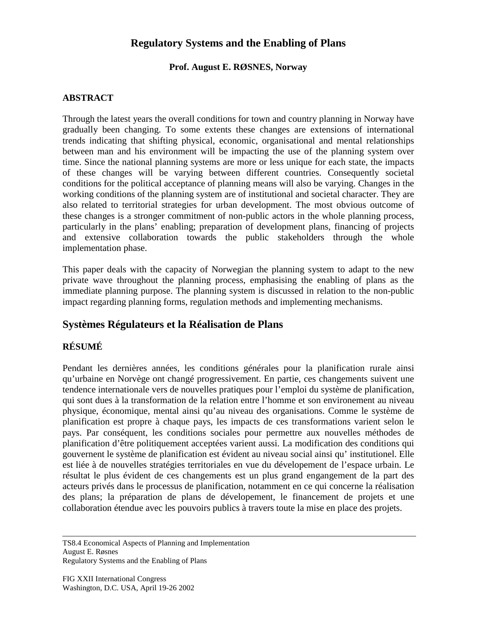# **Regulatory Systems and the Enabling of Plans**

#### **Prof. August E. RØSNES, Norway**

#### **ABSTRACT**

Through the latest years the overall conditions for town and country planning in Norway have gradually been changing. To some extents these changes are extensions of international trends indicating that shifting physical, economic, organisational and mental relationships between man and his environment will be impacting the use of the planning system over time. Since the national planning systems are more or less unique for each state, the impacts of these changes will be varying between different countries. Consequently societal conditions for the political acceptance of planning means will also be varying. Changes in the working conditions of the planning system are of institutional and societal character. They are also related to territorial strategies for urban development. The most obvious outcome of these changes is a stronger commitment of non-public actors in the whole planning process, particularly in the plans' enabling; preparation of development plans, financing of projects and extensive collaboration towards the public stakeholders through the whole implementation phase.

This paper deals with the capacity of Norwegian the planning system to adapt to the new private wave throughout the planning process, emphasising the enabling of plans as the immediate planning purpose. The planning system is discussed in relation to the non-public impact regarding planning forms, regulation methods and implementing mechanisms.

# **Systèmes Régulateurs et la Réalisation de Plans**

### **RÉSUMÉ**

Pendant les dernières années, les conditions générales pour la planification rurale ainsi qu'urbaine en Norvège ont changé progressivement. En partie, ces changements suivent une tendence internationale vers de nouvelles pratiques pour l'emploi du système de planification, qui sont dues à la transformation de la relation entre l'homme et son environement au niveau physique, économique, mental ainsi qu'au niveau des organisations. Comme le système de planification est propre à chaque pays, les impacts de ces transformations varient selon le pays. Par conséquent, les conditions sociales pour permettre aux nouvelles méthodes de planification d'être politiquement acceptées varient aussi. La modification des conditions qui gouvernent le système de planification est évident au niveau social ainsi qu' institutionel. Elle est liée à de nouvelles stratégies territoriales en vue du dévelopement de l'espace urbain. Le résultat le plus évident de ces changements est un plus grand engangement de la part des acteurs privés dans le processus de planification, notamment en ce qui concerne la réalisation des plans; la préparation de plans de dévelopement, le financement de projets et une collaboration étendue avec les pouvoirs publics à travers toute la mise en place des projets.

TS8.4 Economical Aspects of Planning and Implementation August E. Røsnes Regulatory Systems and the Enabling of Plans